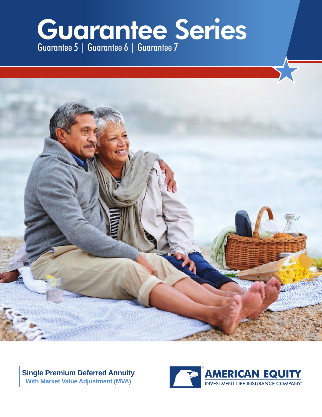# Guarantee Series Guarantee 5 | Guarantee 6 | Guarantee 7



**Single Premium Deferred Annuity With Market Value Adjustment (MVA)**

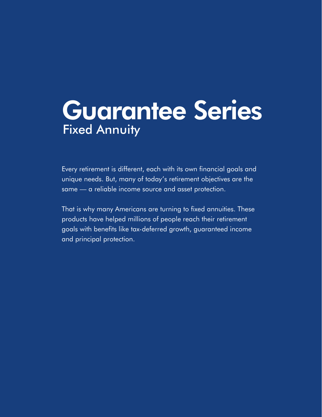# Guarantee Series Fixed Annuity

Every retirement is different, each with its own financial goals and unique needs. But, many of today's retirement objectives are the same — a reliable income source and asset protection.

That is why many Americans are turning to fixed annuities. These products have helped millions of people reach their retirement goals with benefits like tax-deferred growth, guaranteed income and principal protection.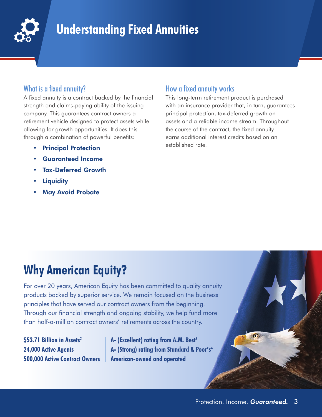

# **Understanding Fixed Annuities**

### What is a fixed annuity?

A fixed annuity is a contract backed by the financial strength and claims-paying ability of the issuing company. This guarantees contract owners a retirement vehicle designed to protect assets while allowing for growth opportunities. It does this through a combination of powerful benefits:

- Principal Protection
- Guaranteed Income
- Tax-Deferred Growth
- **Liquidity**
- **May Avoid Probate**

### How a fixed annuity works

This long-term retirement product is purchased with an insurance provider that, in turn, guarantees principal protection, tax-deferred growth on assets and a reliable income stream. Throughout the course of the contract, the fixed annuity earns additional interest credits based on an established rate.

# **Why American Equity?**

For over 20 years, American Equity has been committed to quality annuity products backed by superior service. We remain focused on the business principles that have served our contract owners from the beginning. Through our financial strength and ongoing stability, we help fund more than half-a-million contract owners' retirements across the country.

**\$53.71 Billion in Assets2 24,000 Active Agents 500,000 Active Contract Owners**

**A- (Excellent) rating from A.M. Best3 A- (Strong) rating from Standard & Poor's4 American-owned and operated**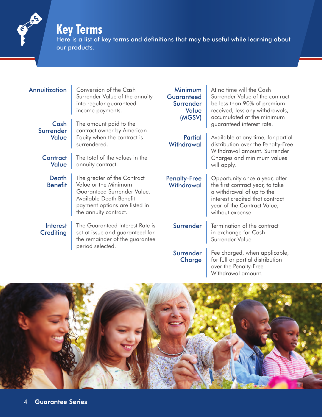# **Key Terms**

 $\frac{C}{1}$ 

Here is a list of key terms and definitions that may be useful while learning about our products.

| Annuitization                       | Conversion of the Cash<br>Surrender Value of the annuity<br>into regular guaranteed<br>income payments.                                                                 | Minimum<br><b>Guaranteed</b><br>Surrender<br>Value<br>(MGSV) | At no time will the Cash<br>Surrender Value of the contract<br>be less than 90% of premium<br>received, less any withdrawals,<br>accumulated at the minimum                           |  |  |
|-------------------------------------|-------------------------------------------------------------------------------------------------------------------------------------------------------------------------|--------------------------------------------------------------|---------------------------------------------------------------------------------------------------------------------------------------------------------------------------------------|--|--|
| Cash<br>Surrender<br>Value          | The amount paid to the<br>contract owner by American<br>Equity when the contract is<br>surrendered.                                                                     | <b>Partial</b><br>Withdrawal                                 | guaranteed interest rate.<br>Available at any time, for partial<br>distribution over the Penalty-Free<br>Withdrawal amount. Surrender                                                 |  |  |
| <b>Contract</b><br><b>Value</b>     | The total of the values in the<br>annuity contract.                                                                                                                     |                                                              | Charges and minimum values<br>will apply.                                                                                                                                             |  |  |
| <b>Death</b><br><b>Benefit</b>      | The greater of the Contract<br>Value or the Minimum<br>Guaranteed Surrender Value.<br>Available Death Benefit<br>payment options are listed in<br>the annuity contract. | <b>Penalty-Free</b><br>Withdrawal                            | Opportunity once a year, after<br>the first contract year, to take<br>a withdrawal of up to the<br>interest credited that contract<br>year of the Contract Value,<br>without expense. |  |  |
| <b>Interest</b><br><b>Crediting</b> | The Guaranteed Interest Rate is<br>set at issue and guaranteed for<br>the remainder of the guarantee<br>period selected.                                                | Surrender                                                    | Termination of the contract<br>in exchange for Cash<br>Surrender Value.                                                                                                               |  |  |
|                                     |                                                                                                                                                                         | Surrender<br>Charge                                          | Fee charged, when applicable,<br>for full or partial distribution                                                                                                                     |  |  |



over the Penalty-Free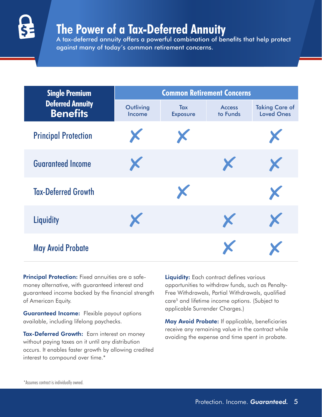

# **The Power of a Tax-Deferred Annuity**

A tax-deferred annuity offers a powerful combination of benefits that help protect against many of today's common retirement concerns.

| <b>Single Premium</b>                      | <b>Common Retirement Concerns</b> |                               |                           |                                            |  |  |  |  |
|--------------------------------------------|-----------------------------------|-------------------------------|---------------------------|--------------------------------------------|--|--|--|--|
| <b>Deferred Annuity</b><br><b>Benefits</b> | Outliving<br>Income               | <b>Tax</b><br><b>Exposure</b> | <b>Access</b><br>to Funds | <b>Taking Care of</b><br><b>Loved Ones</b> |  |  |  |  |
| <b>Principal Protection</b>                | X                                 | X                             |                           | X                                          |  |  |  |  |
| <b>Guaranteed Income</b>                   | X                                 |                               | X                         | X                                          |  |  |  |  |
| <b>Tax-Deferred Growth</b>                 |                                   | X                             |                           | X                                          |  |  |  |  |
| <b>Liquidity</b>                           | X                                 |                               | X                         | X                                          |  |  |  |  |
| <b>May Avoid Probate</b>                   |                                   |                               | X                         |                                            |  |  |  |  |

Principal Protection: Fixed annuities are a safemoney alternative, with guaranteed interest and guaranteed income backed by the financial strength of American Equity.

Guaranteed Income: Flexible payout options available, including lifelong paychecks.

Tax-Deferred Growth: Earn interest on money without paying taxes on it until any distribution occurs. It enables faster growth by allowing credited interest to compound over time.\*

Liquidity: Each contract defines various opportunities to withdraw funds, such as Penalty-Free Withdrawals, Partial Withdrawals, qualified care<sup>5</sup> and lifetime income options. (Subject to applicable Surrender Charges.)

May Avoid Probate: If applicable, beneficiaries receive any remaining value in the contract while avoiding the expense and time spent in probate.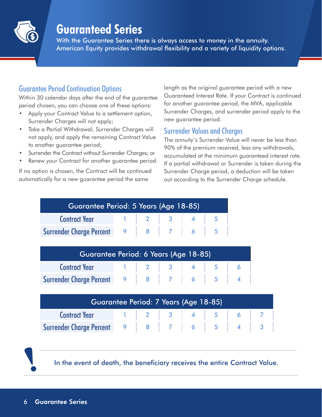

# **Guaranteed Series**

With the Guarantee Series there is always access to money in the annuity. American Equity provides withdrawal flexibility and a variety of liquidity options.

### Guarantee Period Continuation Options

Within 30 calendar days after the end of the guarantee period chosen, you can choose one of these options:

- Apply your Contract Value to a settlement option, Surrender Charges will not apply;
- Take a Partial Withdrawal, Surrender Charges will not apply, and apply the remaining Contract Value to another guarantee period;
- Surrender the Contract without Surrender Charges; or
- Renew your Contract for another quarantee period.

If no option is chosen, the Contract will be continued automatically for a new guarantee period the same

length as the original guarantee period with a new Guaranteed Interest Rate. If your Contract is continued for another guarantee period, the MVA, applicable Surrender Charges, and surrender period apply to the new guarantee period.

### Surrender Values and Charges

The annuity's Surrender Value will never be less than 90% of the premium received, less any withdrawals, accumulated at the minimum guaranteed interest rate. If a partial withdrawal or Surrender is taken during the Surrender Charge period, a deduction will be taken out according to the Surrender Charge schedule.

| Guarantee Period: 5 Years (Age 18-85)      |  |                          |  |  |  |  |  |  |
|--------------------------------------------|--|--------------------------|--|--|--|--|--|--|
| <b>Contract Year</b>                       |  | $1 \mid 2 \mid 3 \mid 4$ |  |  |  |  |  |  |
| Surrender Charge Percent 9   8   7   6   5 |  |                          |  |  |  |  |  |  |
|                                            |  |                          |  |  |  |  |  |  |

| Guarantee Period: 6 Years (Age 18-85) |  |  |  |  |  |  |  |  |
|---------------------------------------|--|--|--|--|--|--|--|--|
| <b>Contract Year</b>                  |  |  |  |  |  |  |  |  |
| Surrender Charge Percent              |  |  |  |  |  |  |  |  |

| Guarantee Period: 7 Years (Age 18-85)              |  |  |  |  |  |  |  |  |
|----------------------------------------------------|--|--|--|--|--|--|--|--|
| <b>Contract Year</b> 1   2   3   4   5   6   7     |  |  |  |  |  |  |  |  |
| Surrender Charge Percent 9   8   7   6   5   4   3 |  |  |  |  |  |  |  |  |



In the event of death, the beneficiary receives the entire Contract Value.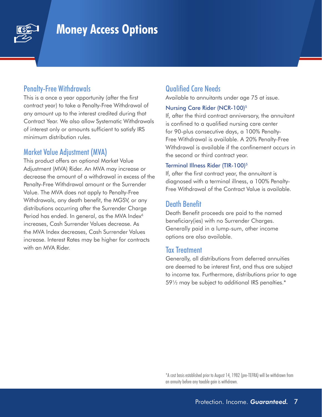

# **Money Access Options**

#### Penalty-Free Withdrawals

This is a once a year opportunity (after the first contract year) to take a Penalty-Free Withdrawal of any amount up to the interest credited during that Contract Year. We also allow Systematic Withdrawals of interest only or amounts sufficient to satisfy IRS minimum distribution rules.

### Market Value Adjustment (MVA)

This product offers an optional Market Value Adjustment (MVA) Rider. An MVA may increase or decrease the amount of a withdrawal in excess of the Penalty-Free Withdrawal amount or the Surrender Value. The MVA does not apply to Penalty-Free Withdrawals, any death benefit, the MGSV, or any distributions occurring after the Surrender Charge Period has ended. In general, as the MVA Index<sup>6</sup> increases, Cash Surrender Values decrease. As the MVA Index decreases, Cash Surrender Values increase. Interest Rates may be higher for contracts with an MVA Rider.

## Qualified Care Needs

Available to annuitants under age 75 at issue.

#### Nursing Care Rider (NCR-100)5

If, after the third contract anniversary, the annuitant is confined to a qualified nursing care center for 90-plus consecutive days, a 100% Penalty-Free Withdrawal is available. A 20% Penalty-Free Withdrawal is available if the confinement occurs in the second or third contract year.

#### Terminal Illness Rider (TIR-100)<sup>5</sup>

If, after the first contract year, the annuitant is diagnosed with a terminal illness, a 100% Penalty-Free Withdrawal of the Contract Value is available.

### Death Benefit

Death Benefit proceeds are paid to the named beneficiary(ies) with no Surrender Charges. Generally paid in a lump-sum, other income options are also available.

#### Tax Treatment

Generally, all distributions from deferred annuities are deemed to be interest first, and thus are subject to income tax. Furthermore, distributions prior to age 59½ may be subject to additional IRS penalties.\*

\*A cost basis established prior to August 14, 1982 (pre-TEFRA) will be withdrawn from an annuity before any taxable gain is withdrawn.